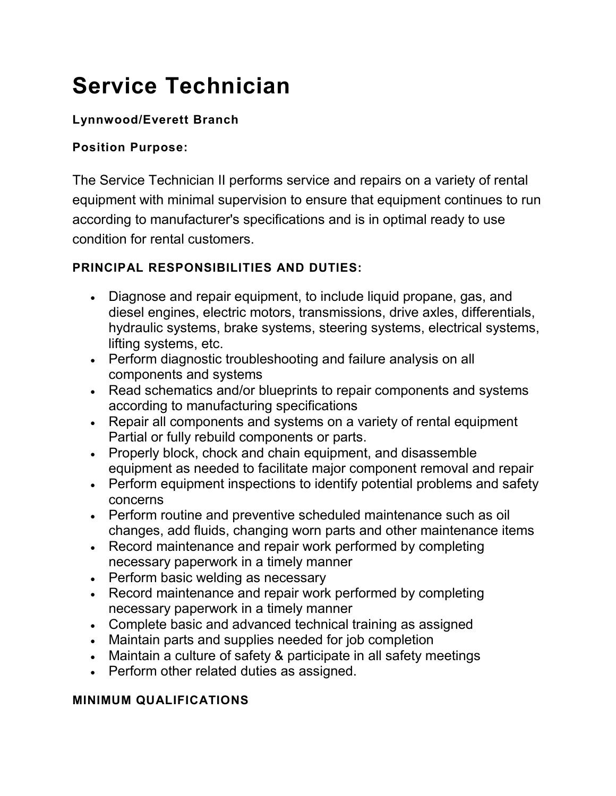# **Service Technician**

# **Lynnwood/Everett Branch**

#### **Position Purpose:**

The Service Technician II performs service and repairs on a variety of rental equipment with minimal supervision to ensure that equipment continues to run according to manufacturer's specifications and is in optimal ready to use condition for rental customers.

# **PRINCIPAL RESPONSIBILITIES AND DUTIES:**

- Diagnose and repair equipment, to include liquid propane, gas, and diesel engines, electric motors, transmissions, drive axles, differentials, hydraulic systems, brake systems, steering systems, electrical systems, lifting systems, etc.
- Perform diagnostic troubleshooting and failure analysis on all components and systems
- Read schematics and/or blueprints to repair components and systems according to manufacturing specifications
- Repair all components and systems on a variety of rental equipment Partial or fully rebuild components or parts.
- Properly block, chock and chain equipment, and disassemble equipment as needed to facilitate major component removal and repair
- Perform equipment inspections to identify potential problems and safety concerns
- Perform routine and preventive scheduled maintenance such as oil changes, add fluids, changing worn parts and other maintenance items
- Record maintenance and repair work performed by completing necessary paperwork in a timely manner
- Perform basic welding as necessary
- Record maintenance and repair work performed by completing necessary paperwork in a timely manner
- Complete basic and advanced technical training as assigned
- Maintain parts and supplies needed for job completion
- Maintain a culture of safety & participate in all safety meetings
- Perform other related duties as assigned.

#### **MINIMUM QUALIFICATIONS**